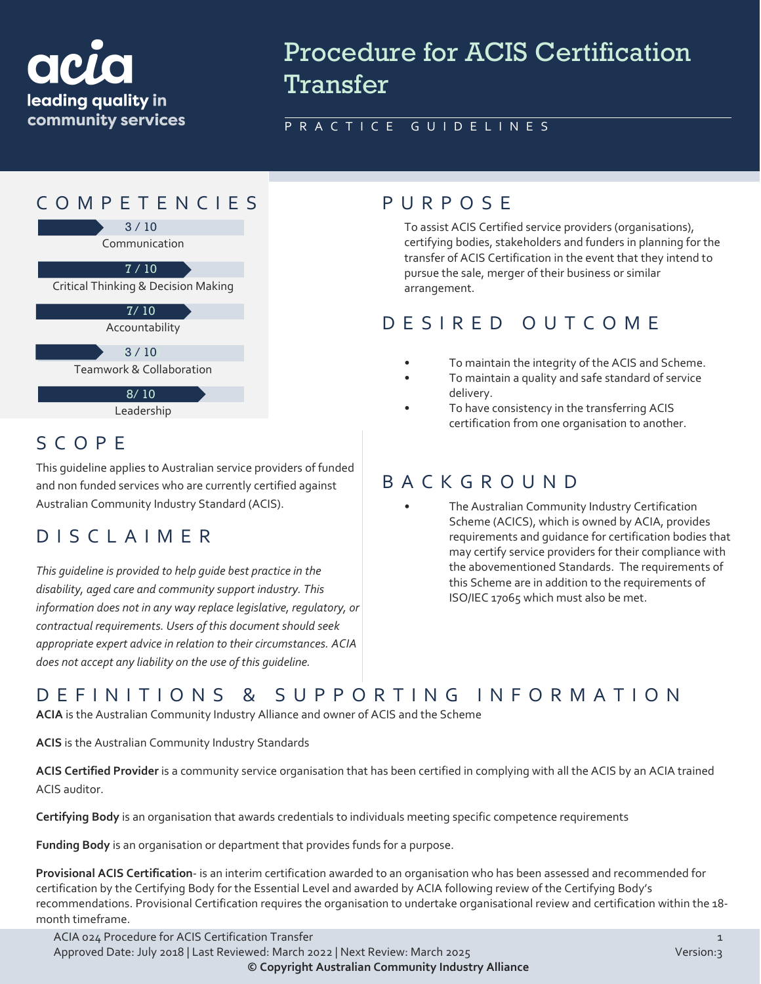

# Procedure for ACIS Certification **Transfer**

#### PRACTICE GUIDELINES



### SCOPE

This guideline applies to Australian service providers of funded and non funded services who are currently certified against Australian Community Industry Standard (ACIS).

#### DISCLAIMER

*This guideline is provided to help guide best practice in the disability, aged care and community support industry. This information does not in any way replace legislative, regulatory, or contractual requirements. Users of this document should seek appropriate expert advice in relation to their circumstances. ACIA does not accept any liability on the use of this guideline.*

To assist ACIS Certified service providers (organisations), certifying bodies, stakeholders and funders in planning for the transfer of ACIS Certification in the event that they intend to pursue the sale, merger of their business or similar arrangement.

### DESIRED OUTCOME

- To maintain the integrity of the ACIS and Scheme.
- To maintain a quality and safe standard of service delivery.
- To have consistency in the transferring ACIS certification from one organisation to another.

#### BACKGROUND

The Australian Community Industry Certification Scheme (ACICS), which is owned by ACIA, provides requirements and guidance for certification bodies that may certify service providers for their compliance with the abovementioned Standards. The requirements of this Scheme are in addition to the requirements of ISO/IEC 17065 which must also be met.

# DEFINITIONS & SUPPORTING INFORMATIO N

**ACIA** is the Australian Community Industry Alliance and owner of ACIS and the Scheme

**ACIS** is the Australian Community Industry Standards

**ACIS Certified Provider** is a community service organisation that has been certified in complying with all the ACIS by an ACIA trained ACIS auditor.

**Certifying Body** is an organisation that awards credentials to individuals meeting specific competence requirements

**Funding Body** is an organisation or department that provides funds for a purpose.

**Provisional ACIS Certification**- is an interim certification awarded to an organisation who has been assessed and recommended for certification by the Certifying Body for the Essential Level and awarded by ACIA following review of the Certifying Body's recommendations. Provisional Certification requires the organisation to undertake organisational review and certification within the 18 month timeframe.